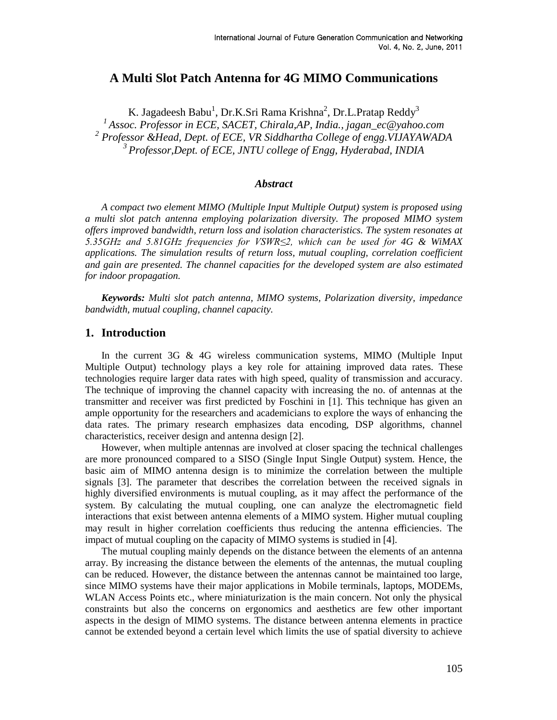# **A Multi Slot Patch Antenna for 4G MIMO Communications**

K. Jagadeesh Babu $^1$ , Dr.K.Sri Rama Krishna $^2$ , Dr.L.Pratap Reddy $^3$ *Assoc. Professor in ECE, SACET, Chirala,AP, India., jagan\_ec@yahoo.com Professor &Head, Dept. of ECE, VR Siddhartha College of engg.VIJAYAWADA Professor,Dept. of ECE, JNTU college of Engg, Hyderabad, INDIA*

#### *Abstract*

*A compact two element MIMO (Multiple Input Multiple Output) system is proposed using a multi slot patch antenna employing polarization diversity. The proposed MIMO system offers improved bandwidth, return loss and isolation characteristics. The system resonates at 5.35GHz and 5.81GHz frequencies for VSWR≤2, which can be used for 4G & WiMAX applications. The simulation results of return loss, mutual coupling, correlation coefficient and gain are presented. The channel capacities for the developed system are also estimated for indoor propagation.*

*Keywords: Multi slot patch antenna, MIMO systems, Polarization diversity, impedance bandwidth, mutual coupling, channel capacity.*

### **1. Introduction**

In the current 3G & 4G wireless communication systems, MIMO (Multiple Input Multiple Output) technology plays a key role for attaining improved data rates. These technologies require larger data rates with high speed, quality of transmission and accuracy. The technique of improving the channel capacity with increasing the no. of antennas at the transmitter and receiver was first predicted by Foschini in [1]. This technique has given an ample opportunity for the researchers and academicians to explore the ways of enhancing the data rates. The primary research emphasizes data encoding, DSP algorithms, channel characteristics, receiver design and antenna design [2].

However, when multiple antennas are involved at closer spacing the technical challenges are more pronounced compared to a SISO (Single Input Single Output) system. Hence, the basic aim of MIMO antenna design is to minimize the correlation between the multiple signals [3]. The parameter that describes the correlation between the received signals in highly diversified environments is mutual coupling, as it may affect the performance of the system. By calculating the mutual coupling, one can analyze the electromagnetic field interactions that exist between antenna elements of a MIMO system. Higher mutual coupling may result in higher correlation coefficients thus reducing the antenna efficiencies. The impact of mutual coupling on the capacity of MIMO systems is studied in [4].

The mutual coupling mainly depends on the distance between the elements of an antenna array. By increasing the distance between the elements of the antennas, the mutual coupling can be reduced. However, the distance between the antennas cannot be maintained too large, since MIMO systems have their major applications in Mobile terminals, laptops, MODEMs, WLAN Access Points etc., where miniaturization is the main concern. Not only the physical constraints but also the concerns on ergonomics and aesthetics are few other important aspects in the design of MIMO systems. The distance between antenna elements in practice cannot be extended beyond a certain level which limits the use of spatial diversity to achieve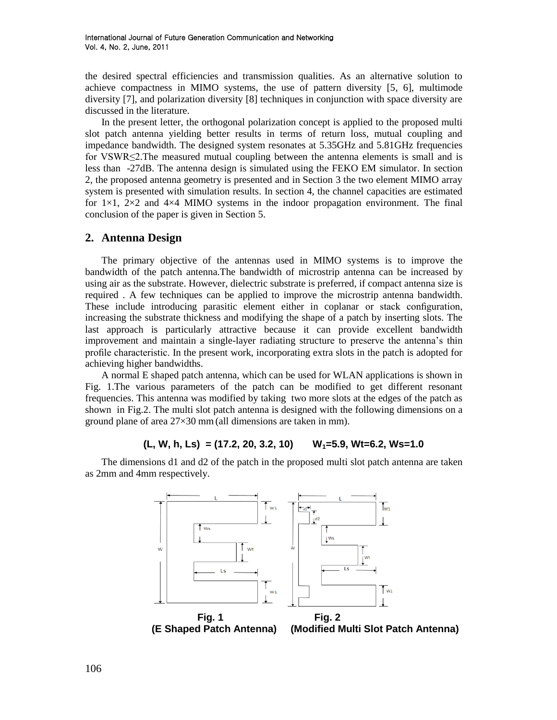the desired spectral efficiencies and transmission qualities. As an alternative solution to achieve compactness in MIMO systems, the use of pattern diversity [5, 6], multimode diversity [7], and polarization diversity [8] techniques in conjunction with space diversity are discussed in the literature.

In the present letter, the orthogonal polarization concept is applied to the proposed multi slot patch antenna yielding better results in terms of return loss, mutual coupling and impedance bandwidth. The designed system resonates at 5.35GHz and 5.81GHz frequencies for VSWR≤2.The measured mutual coupling between the antenna elements is small and is less than -27dB. The antenna design is simulated using the FEKO EM simulator. In section 2, the proposed antenna geometry is presented and in Section 3 the two element MIMO array system is presented with simulation results. In section 4, the channel capacities are estimated for  $1 \times 1$ ,  $2 \times 2$  and  $4 \times 4$  MIMO systems in the indoor propagation environment. The final conclusion of the paper is given in Section 5.

# **2. Antenna Design**

The primary objective of the antennas used in MIMO systems is to improve the bandwidth of the patch antenna.The bandwidth of microstrip antenna can be increased by using air as the substrate. However, dielectric substrate is preferred, if compact antenna size is required . A few techniques can be applied to improve the microstrip antenna bandwidth. These include introducing parasitic element either in coplanar or stack configuration, increasing the substrate thickness and modifying the shape of a patch by inserting slots. The last approach is particularly attractive because it can provide excellent bandwidth improvement and maintain a single-layer radiating structure to preserve the antenna's thin profile characteristic. In the present work, incorporating extra slots in the patch is adopted for achieving higher bandwidths.

A normal E shaped patch antenna, which can be used for WLAN applications is shown in Fig. 1.The various parameters of the patch can be modified to get different resonant frequencies. This antenna was modified by taking two more slots at the edges of the patch as shown in Fig.2. The multi slot patch antenna is designed with the following dimensions on a ground plane of area 27×30 mm(all dimensions are taken in mm).

### **(L, W, h, Ls) = (17.2, 20, 3.2, 10) W1=5.9, Wt=6.2, Ws=1.0**

The dimensions d1 and d2 of the patch in the proposed multi slot patch antenna are taken as 2mm and 4mm respectively.



 **Fig. 1 Fig. 2**

 **(E Shaped Patch Antenna) (Modified Multi Slot Patch Antenna)**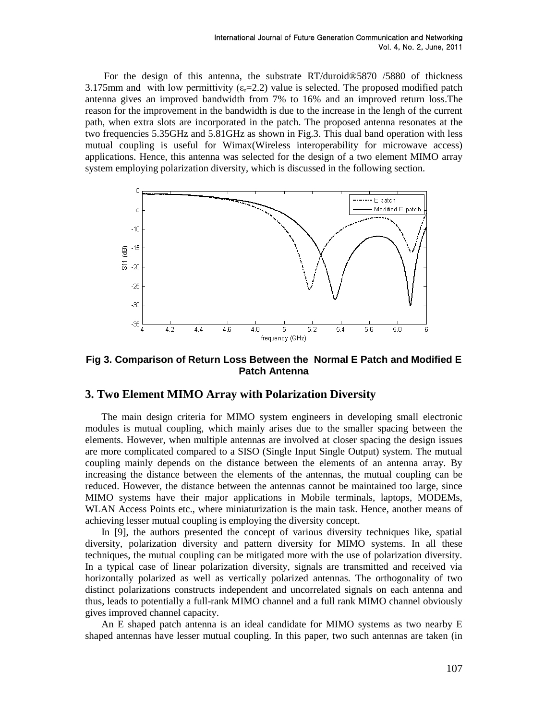For the design of this antenna, the substrate RT/duroid® 5870 /5880 of thickness 3.175mm and with low permittivity  $(\epsilon_{r}=2.2)$  value is selected. The proposed modified patch antenna gives an improved bandwidth from 7% to 16% and an improved return loss.The reason for the improvement in the bandwidth is due to the increase in the lengh of the current path, when extra slots are incorporated in the patch. The proposed antenna resonates at the two frequencies 5.35GHz and 5.81GHz as shown in Fig.3. This dual band operation with less mutual coupling is useful for Wimax(Wireless interoperability for microwave access) applications. Hence, this antenna was selected for the design of a two element MIMO array system employing polarization diversity, which is discussed in the following section.



**Fig 3. Comparison of Return Loss Between the Normal E Patch and Modified E Patch Antenna**

## **3. Two Element MIMO Array with Polarization Diversity**

The main design criteria for MIMO system engineers in developing small electronic modules is mutual coupling, which mainly arises due to the smaller spacing between the elements. However, when multiple antennas are involved at closer spacing the design issues are more complicated compared to a SISO (Single Input Single Output) system. The mutual coupling mainly depends on the distance between the elements of an antenna array. By increasing the distance between the elements of the antennas, the mutual coupling can be reduced. However, the distance between the antennas cannot be maintained too large, since MIMO systems have their major applications in Mobile terminals, laptops, MODEMs, WLAN Access Points etc., where miniaturization is the main task. Hence, another means of achieving lesser mutual coupling is employing the diversity concept.

In [9], the authors presented the concept of various diversity techniques like, spatial diversity, polarization diversity and pattern diversity for MIMO systems. In all these techniques, the mutual coupling can be mitigated more with the use of polarization diversity. In a typical case of linear polarization diversity, signals are transmitted and received via horizontally polarized as well as vertically polarized antennas. The orthogonality of two distinct polarizations constructs independent and uncorrelated signals on each antenna and thus, leads to potentially a full-rank MIMO channel and a full rank MIMO channel obviously gives improved channel capacity.

An E shaped patch antenna is an ideal candidate for MIMO systems as two nearby E shaped antennas have lesser mutual coupling. In this paper, two such antennas are taken (in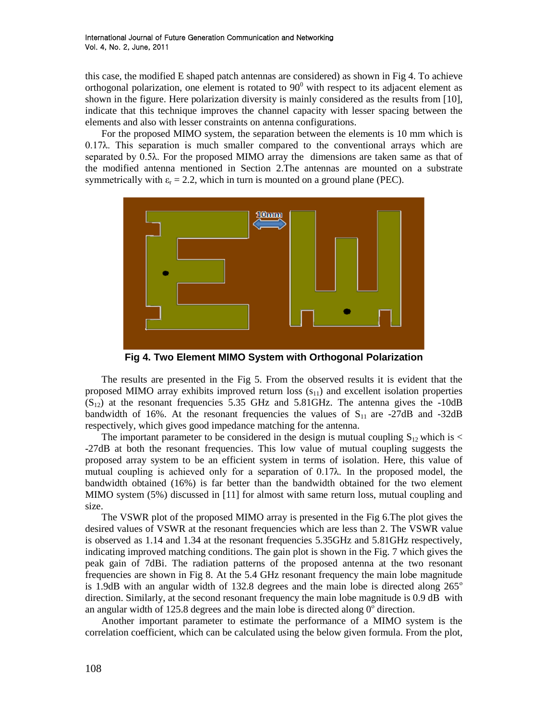this case, the modified E shaped patch antennas are considered) as shown in Fig 4. To achieve orthogonal polarization, one element is rotated to  $90^{\circ}$  with respect to its adjacent element as shown in the figure. Here polarization diversity is mainly considered as the results from [10], indicate that this technique improves the channel capacity with lesser spacing between the elements and also with lesser constraints on antenna configurations.

For the proposed MIMO system, the separation between the elements is 10 mm which is 0.17λ. This separation is much smaller compared to the conventional arrays which are separated by 0.5λ. For the proposed MIMO array the dimensions are taken same as that of the modified antenna mentioned in Section 2.The antennas are mounted on a substrate symmetrically with  $\varepsilon_r = 2.2$ , which in turn is mounted on a ground plane (PEC).



**Fig 4. Two Element MIMO System with Orthogonal Polarization**

The results are presented in the Fig 5. From the observed results it is evident that the proposed MIMO array exhibits improved return loss  $(s_{11})$  and excellent isolation properties  $(S_{12})$  at the resonant frequencies 5.35 GHz and 5.81GHz. The antenna gives the -10dB bandwidth of 16%. At the resonant frequencies the values of  $S_{11}$  are -27dB and -32dB respectively, which gives good impedance matching for the antenna.

The important parameter to be considered in the design is mutual coupling  $S_{12}$  which is < -27dB at both the resonant frequencies. This low value of mutual coupling suggests the proposed array system to be an efficient system in terms of isolation. Here, this value of mutual coupling is achieved only for a separation of  $0.17\lambda$ . In the proposed model, the bandwidth obtained (16%) is far better than the bandwidth obtained for the two element MIMO system (5%) discussed in [11] for almost with same return loss, mutual coupling and size.

The VSWR plot of the proposed MIMO array is presented in the Fig 6.The plot gives the desired values of VSWR at the resonant frequencies which are less than 2. The VSWR value is observed as 1.14 and 1.34 at the resonant frequencies 5.35GHz and 5.81GHz respectively, indicating improved matching conditions. The gain plot is shown in the Fig. 7 which gives the peak gain of 7dBi. The radiation patterns of the proposed antenna at the two resonant frequencies are shown in Fig 8. At the 5.4 GHz resonant frequency the main lobe magnitude is 1.9dB with an angular width of 132.8 degrees and the main lobe is directed along  $265^{\circ}$ direction. Similarly, at the second resonant frequency the main lobe magnitude is 0.9 dB with an angular width of 125.8 degrees and the main lobe is directed along  $0^{\circ}$  direction.

Another important parameter to estimate the performance of a MIMO system is the correlation coefficient, which can be calculated using the below given formula. From the plot,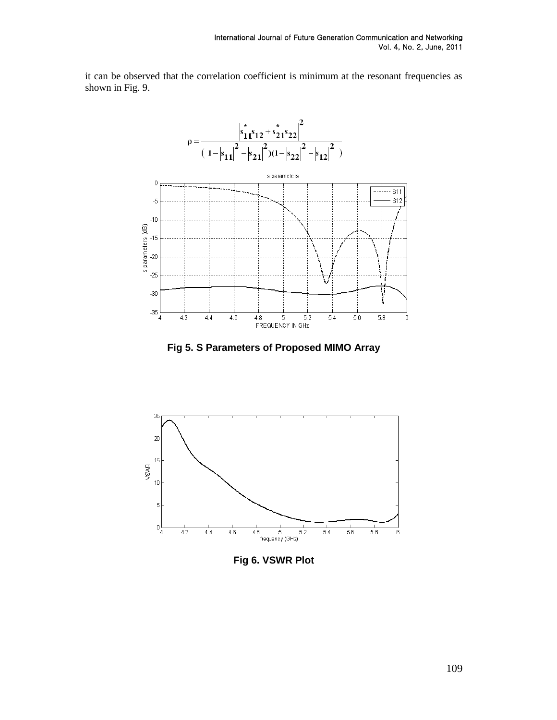it can be observed that the correlation coefficient is minimum at the resonant frequencies as shown in Fig. 9.



**Fig 5. S Parameters of Proposed MIMO Array**



**Fig 6. VSWR Plot**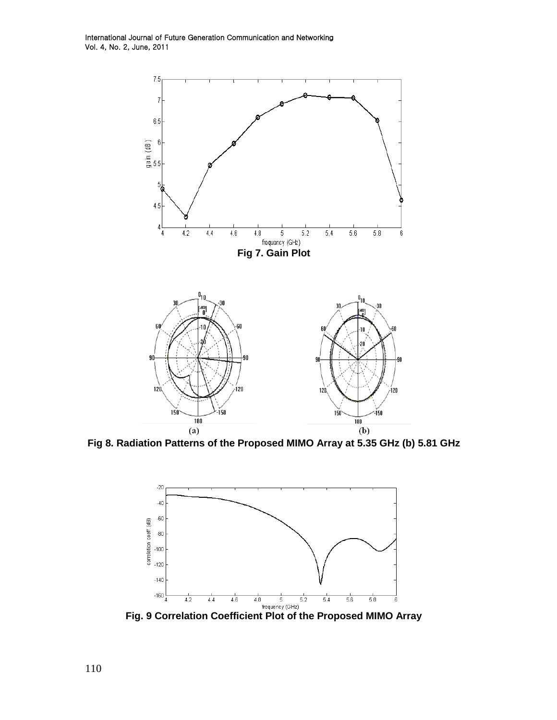International Journal of Future Generation Communication and Networking Vol. 4, No. 2, June, 2011



**Fig 8. Radiation Patterns of the Proposed MIMO Array at 5.35 GHz (b) 5.81 GHz**



**Fig. 9 Correlation Coefficient Plot of the Proposed MIMO Array**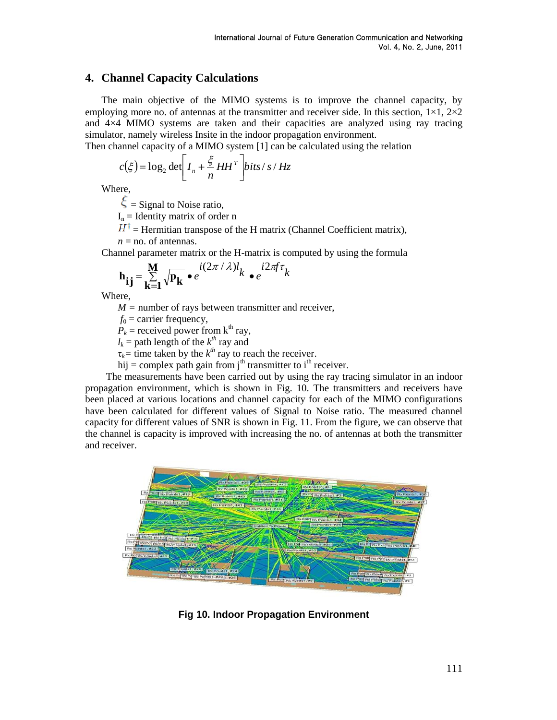# **4. Channel Capacity Calculations**

The main objective of the MIMO systems is to improve the channel capacity, by employing more no. of antennas at the transmitter and receiver side. In this section,  $1 \times 1$ ,  $2 \times 2$ and 4×4 MIMO systems are taken and their capacities are analyzed using ray tracing simulator, namely wireless Insite in the indoor propagation environment.

Then channel capacity of a MIMO system 
$$
[1]
$$
 can be calculated using the relation

$$
c(\xi) = \log_2 \det \left[ I_n + \frac{\xi}{n} H H^T \right] \text{bits/s} / Hz
$$

Where,

 $\xi$  = Signal to Noise ratio,

 $I_n$  = Identity matrix of order n

 $H^{\dagger}$  = Hermitian transpose of the H matrix (Channel Coefficient matrix),  $n =$  no. of antennas.

Channel parameter matrix or the H-matrix is computed by using the formula

$$
\mathbf{h}_{ij} = \sum_{\mathbf{k}=1}^{M} \sqrt{\mathbf{p}_{\mathbf{k}}} \cdot e^{i(2\pi/\lambda)l} k \cdot e^{i2\pi f \tau} k
$$

Where,

*M* = number of rays between transmitter and receiver,

 $f_0$  = carrier frequency,

 $P_k$  = received power from k<sup>th</sup> ray,

 $l_k$  = path length of the  $k^{th}$  ray and

 $\tau_k$ = time taken by the  $k^{th}$  ray to reach the receiver.

hij = complex path gain from j<sup>th</sup> transmitter to i<sup>th</sup> receiver.

 The measurements have been carried out by using the ray tracing simulator in an indoor propagation environment, which is shown in Fig. 10. The transmitters and receivers have been placed at various locations and channel capacity for each of the MIMO configurations have been calculated for different values of Signal to Noise ratio. The measured channel capacity for different values of SNR is shown in Fig. 11. From the figure, we can observe that the channel is capacity is improved with increasing the no. of antennas at both the transmitter and receiver.



**Fig 10. Indoor Propagation Environment**